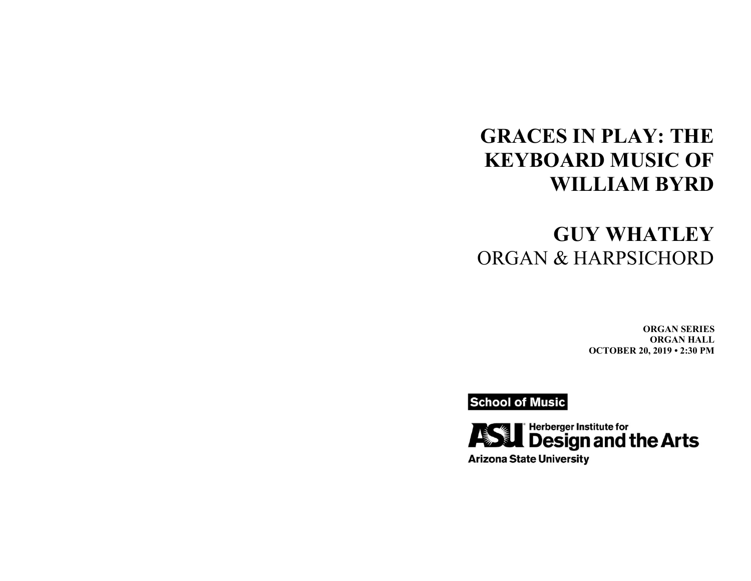# **GRACES IN PLAY: THE KEYBOARD MUSIC OF WILLIAM BYRD**

# **GUY WHATLEY** ORGAN & HARPSICHORD

**ORGAN SERIES ORGAN HALL OCTOBER 20, 2019 • 2:30 PM**

**School of Music** 



**Arizona State University**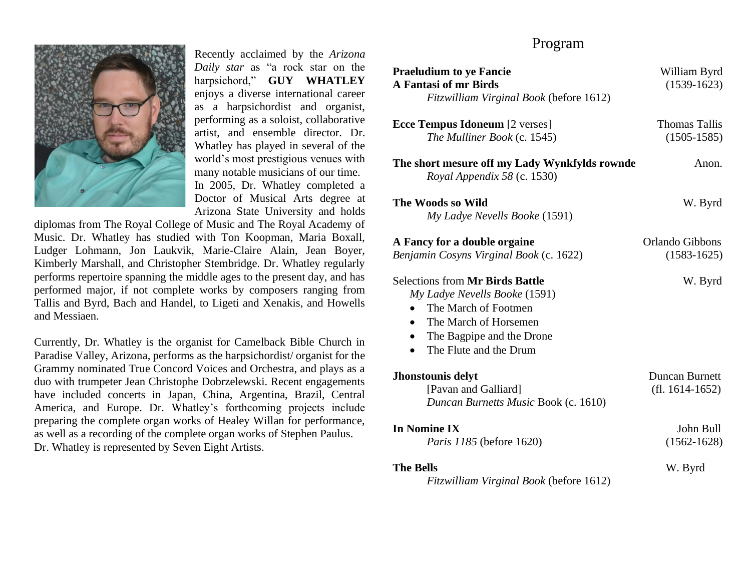

Recently acclaimed by the *Arizona Daily star* as "a rock star on the harpsichord," **GUY WHATLEY**  enjoys a diverse international career as a harpsichordist and organist, performing as a soloist, collaborative artist, and ensemble director. Dr. Whatley has played in several of the world's most prestigious venues with many notable musicians of our time. In 2005, Dr. Whatley completed a Doctor of Musical Arts degree at Arizona State University and holds

diplomas from The Royal College of Music and The Royal Academy of Music. Dr. Whatley has studied with Ton Koopman, Maria Boxall, Ludger Lohmann, Jon Laukvik, Marie-Claire Alain, Jean Boyer, Kimberly Marshall, and Christopher Stembridge. Dr. Whatley regularly performs repertoire spanning the middle ages to the present day, and has performed major, if not complete works by composers ranging from Tallis and Byrd, Bach and Handel, to Ligeti and Xenakis, and Howells and Messiaen.

Currently, Dr. Whatley is the organist for Camelback Bible Church in Paradise Valley, Arizona, performs as the harpsichordist/ organist for the Grammy nominated True Concord Voices and Orchestra, and plays as a duo with trumpeter Jean Christophe Dobrzelewski. Recent engagements have included concerts in Japan, China, Argentina, Brazil, Central America, and Europe. Dr. Whatley's forthcoming projects include preparing the complete organ works of Healey Willan for performance, as well as a recording of the complete organ works of Stephen Paulus. Dr. Whatley is represented by Seven Eight Artists.

## Program

| <b>Praeludium to ye Fancie</b><br><b>A Fantasi of mr Birds</b><br>Fitzwilliam Virginal Book (before 1612)                                                                                                                           | William Byrd<br>$(1539-1623)$           |
|-------------------------------------------------------------------------------------------------------------------------------------------------------------------------------------------------------------------------------------|-----------------------------------------|
| <b>Ecce Tempus Idoneum</b> [2 verses]<br>The Mulliner Book (c. 1545)                                                                                                                                                                | <b>Thomas Tallis</b><br>$(1505 - 1585)$ |
| The short mesure off my Lady Wynkfylds rownde<br>Royal Appendix 58 (c. 1530)                                                                                                                                                        | Anon.                                   |
| The Woods so Wild<br>My Ladye Nevells Booke (1591)                                                                                                                                                                                  | W. Byrd                                 |
| A Fancy for a double orgaine<br>Benjamin Cosyns Virginal Book (c. 1622)                                                                                                                                                             | Orlando Gibbons<br>$(1583 - 1625)$      |
| <b>Selections from Mr Birds Battle</b><br>My Ladye Nevells Booke (1591)<br>The March of Footmen<br>$\bullet$<br>The March of Horsemen<br>$\bullet$<br>The Bagpipe and the Drone<br>$\bullet$<br>The Flute and the Drum<br>$\bullet$ | W. Byrd                                 |
| Jhonstounis delyt<br>[Pavan and Galliard]<br>Duncan Burnetts Music Book (c. 1610)                                                                                                                                                   | Duncan Burnett<br>$(f. 1614-1652)$      |
| <b>In Nomine IX</b><br>Paris 1185 (before 1620)                                                                                                                                                                                     | John Bull<br>$(1562 - 1628)$            |
| <b>The Bells</b><br>Fitzwilliam Virginal Book (before 1612)                                                                                                                                                                         | W. Byrd                                 |